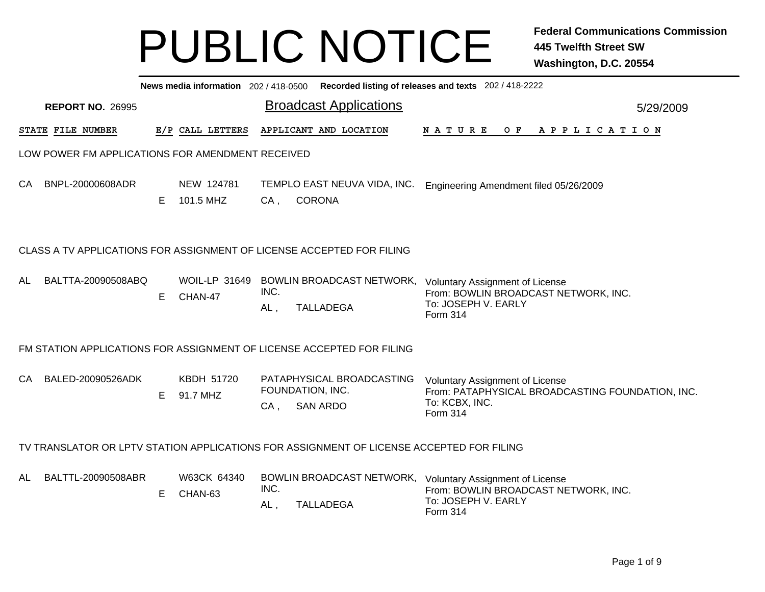|    | News media information 202 / 418-0500 Recorded listing of releases and texts 202 / 418-2222 |                         |    |                                                  |             |                                                                                          |                                                                                                                                                    |  |  |  |  |  |
|----|---------------------------------------------------------------------------------------------|-------------------------|----|--------------------------------------------------|-------------|------------------------------------------------------------------------------------------|----------------------------------------------------------------------------------------------------------------------------------------------------|--|--|--|--|--|
|    |                                                                                             | <b>REPORT NO. 26995</b> |    |                                                  |             | <b>Broadcast Applications</b>                                                            | 5/29/2009                                                                                                                                          |  |  |  |  |  |
|    |                                                                                             | STATE FILE NUMBER       |    | E/P CALL LETTERS                                 |             | APPLICANT AND LOCATION                                                                   | N A T U R E<br>OF APPLICATION                                                                                                                      |  |  |  |  |  |
|    |                                                                                             |                         |    | LOW POWER FM APPLICATIONS FOR AMENDMENT RECEIVED |             |                                                                                          |                                                                                                                                                    |  |  |  |  |  |
| CA |                                                                                             | BNPL-20000608ADR        | E  | NEW 124781<br>101.5 MHZ                          | $CA$ ,      | TEMPLO EAST NEUVA VIDA, INC.<br><b>CORONA</b>                                            | Engineering Amendment filed 05/26/2009                                                                                                             |  |  |  |  |  |
|    | CLASS A TV APPLICATIONS FOR ASSIGNMENT OF LICENSE ACCEPTED FOR FILING                       |                         |    |                                                  |             |                                                                                          |                                                                                                                                                    |  |  |  |  |  |
| AL |                                                                                             | BALTTA-20090508ABQ      | E. | CHAN-47                                          | INC.<br>AL, | <b>TALLADEGA</b>                                                                         | WOIL-LP 31649 BOWLIN BROADCAST NETWORK, Voluntary Assignment of License<br>From: BOWLIN BROADCAST NETWORK, INC.<br>To: JOSEPH V. EARLY<br>Form 314 |  |  |  |  |  |
|    |                                                                                             |                         |    |                                                  |             | FM STATION APPLICATIONS FOR ASSIGNMENT OF LICENSE ACCEPTED FOR FILING                    |                                                                                                                                                    |  |  |  |  |  |
|    |                                                                                             | CA BALED-20090526ADK    | E  | KBDH 51720<br>91.7 MHZ                           | $CA$ ,      | PATAPHYSICAL BROADCASTING<br>FOUNDATION, INC.<br><b>SAN ARDO</b>                         | <b>Voluntary Assignment of License</b><br>From: PATAPHYSICAL BROADCASTING FOUNDATION, INC.<br>To: KCBX, INC.<br><b>Form 314</b>                    |  |  |  |  |  |
|    |                                                                                             |                         |    |                                                  |             | TV TRANSLATOR OR LPTV STATION APPLICATIONS FOR ASSIGNMENT OF LICENSE ACCEPTED FOR FILING |                                                                                                                                                    |  |  |  |  |  |
| AL |                                                                                             | BALTTL-20090508ABR      | Е  | W63CK 64340<br>CHAN-63                           | INC.<br>AL, | <b>TALLADEGA</b>                                                                         | BOWLIN BROADCAST NETWORK, Voluntary Assignment of License<br>From: BOWLIN BROADCAST NETWORK, INC.<br>To: JOSEPH V. EARLY<br>Form 314               |  |  |  |  |  |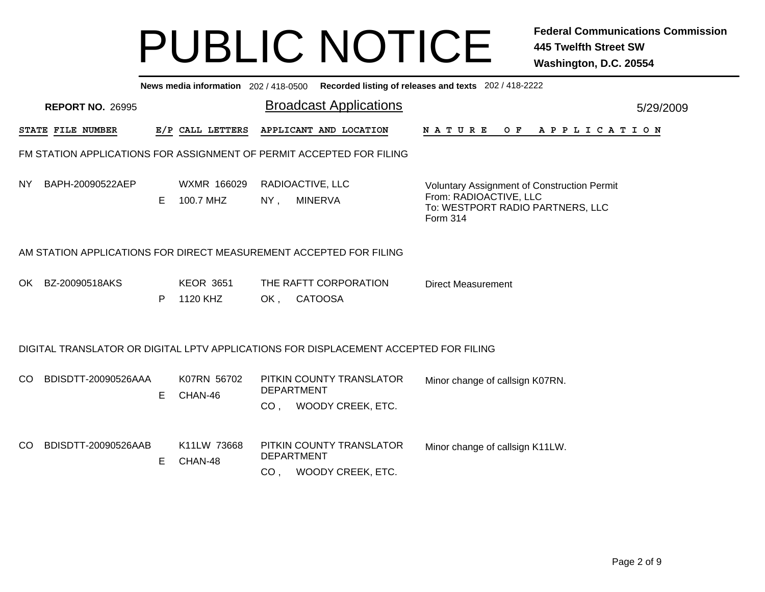|           |                         |                                                                                      |                               |           |                  |  |                                      |  |                                         |  | News media information 202/418-0500 Recorded listing of releases and texts 202/418-2222 |          |                                                                                                                  |  |                |  |  |  |  |
|-----------|-------------------------|--------------------------------------------------------------------------------------|-------------------------------|-----------|------------------|--|--------------------------------------|--|-----------------------------------------|--|-----------------------------------------------------------------------------------------|----------|------------------------------------------------------------------------------------------------------------------|--|----------------|--|--|--|--|
|           | <b>REPORT NO. 26995</b> |                                                                                      | <b>Broadcast Applications</b> |           |                  |  |                                      |  |                                         |  |                                                                                         |          | 5/29/2009                                                                                                        |  |                |  |  |  |  |
|           | STATE FILE NUMBER       |                                                                                      |                               |           | E/P CALL LETTERS |  |                                      |  | APPLICANT AND LOCATION                  |  |                                                                                         | NATURE   |                                                                                                                  |  | OF APPLICATION |  |  |  |  |
|           |                         | FM STATION APPLICATIONS FOR ASSIGNMENT OF PERMIT ACCEPTED FOR FILING                 |                               |           |                  |  |                                      |  |                                         |  |                                                                                         |          |                                                                                                                  |  |                |  |  |  |  |
| <b>NY</b> | BAPH-20090522AEP        |                                                                                      | E.                            | 100.7 MHZ | WXMR 166029      |  | $NY$ ,                               |  | RADIOACTIVE, LLC<br><b>MINERVA</b>      |  |                                                                                         | Form 314 | <b>Voluntary Assignment of Construction Permit</b><br>From: RADIOACTIVE, LLC<br>To: WESTPORT RADIO PARTNERS, LLC |  |                |  |  |  |  |
|           |                         | AM STATION APPLICATIONS FOR DIRECT MEASUREMENT ACCEPTED FOR FILING                   |                               |           |                  |  |                                      |  |                                         |  |                                                                                         |          |                                                                                                                  |  |                |  |  |  |  |
| OK        | BZ-20090518AKS          |                                                                                      | P                             | 1120 KHZ  | <b>KEOR 3651</b> |  | OK.                                  |  | THE RAFTT CORPORATION<br><b>CATOOSA</b> |  |                                                                                         |          | <b>Direct Measurement</b>                                                                                        |  |                |  |  |  |  |
|           |                         | DIGITAL TRANSLATOR OR DIGITAL LPTV APPLICATIONS FOR DISPLACEMENT ACCEPTED FOR FILING |                               |           |                  |  |                                      |  |                                         |  |                                                                                         |          |                                                                                                                  |  |                |  |  |  |  |
| CO.       |                         | BDISDTT-20090526AAA                                                                  | Е                             | CHAN-46   | K07RN 56702      |  | <b>DEPARTMENT</b>                    |  | CO, WOODY CREEK, ETC.                   |  | PITKIN COUNTY TRANSLATOR                                                                |          | Minor change of callsign K07RN.                                                                                  |  |                |  |  |  |  |
| CO        |                         | BDISDTT-20090526AAB                                                                  | Е                             | CHAN-48   | K11LW 73668      |  | <b>DEPARTMENT</b><br>CO <sub>1</sub> |  | WOODY CREEK, ETC.                       |  | PITKIN COUNTY TRANSLATOR                                                                |          | Minor change of callsign K11LW.                                                                                  |  |                |  |  |  |  |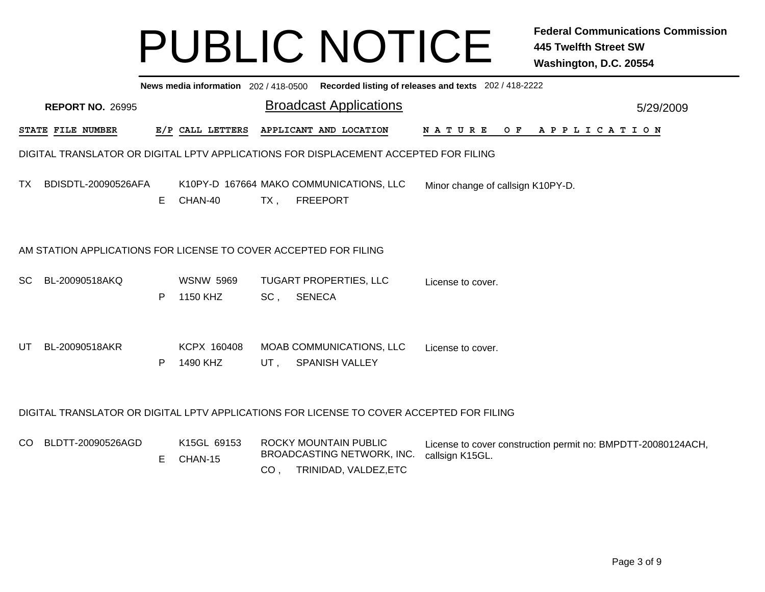|     | News media information 202 / 418-0500 Recorded listing of releases and texts 202 / 418-2222 |    |                              |        |                                                                                          |                                                                                 |           |  |  |  |  |  |
|-----|---------------------------------------------------------------------------------------------|----|------------------------------|--------|------------------------------------------------------------------------------------------|---------------------------------------------------------------------------------|-----------|--|--|--|--|--|
|     | <b>REPORT NO. 26995</b>                                                                     |    |                              |        | <b>Broadcast Applications</b>                                                            |                                                                                 | 5/29/2009 |  |  |  |  |  |
|     | STATE FILE NUMBER                                                                           |    | E/P CALL LETTERS             |        | APPLICANT AND LOCATION                                                                   | NATURE OF<br>A P P L I C A T I O N                                              |           |  |  |  |  |  |
|     | DIGITAL TRANSLATOR OR DIGITAL LPTV APPLICATIONS FOR DISPLACEMENT ACCEPTED FOR FILING        |    |                              |        |                                                                                          |                                                                                 |           |  |  |  |  |  |
| TX. | BDISDTL-20090526AFA                                                                         | E. | CHAN-40                      | $TX$ , | K10PY-D 167664 MAKO COMMUNICATIONS, LLC<br><b>FREEPORT</b>                               | Minor change of callsign K10PY-D.                                               |           |  |  |  |  |  |
|     | AM STATION APPLICATIONS FOR LICENSE TO COVER ACCEPTED FOR FILING                            |    |                              |        |                                                                                          |                                                                                 |           |  |  |  |  |  |
| SC. | BL-20090518AKQ                                                                              | P  | <b>WSNW 5969</b><br>1150 KHZ | SC,    | <b>TUGART PROPERTIES, LLC</b><br><b>SENECA</b>                                           | License to cover.                                                               |           |  |  |  |  |  |
| UT  | BL-20090518AKR                                                                              | P  | KCPX 160408<br>1490 KHZ      | UT,    | MOAB COMMUNICATIONS, LLC<br><b>SPANISH VALLEY</b>                                        | License to cover.                                                               |           |  |  |  |  |  |
|     |                                                                                             |    |                              |        | DIGITAL TRANSLATOR OR DIGITAL LPTV APPLICATIONS FOR LICENSE TO COVER ACCEPTED FOR FILING |                                                                                 |           |  |  |  |  |  |
| CO. | BLDTT-20090526AGD                                                                           | Е  | K15GL 69153<br>CHAN-15       |        | ROCKY MOUNTAIN PUBLIC<br>BROADCASTING NETWORK, INC.<br>CO, TRINIDAD, VALDEZ, ETC         | License to cover construction permit no: BMPDTT-20080124ACH,<br>callsign K15GL. |           |  |  |  |  |  |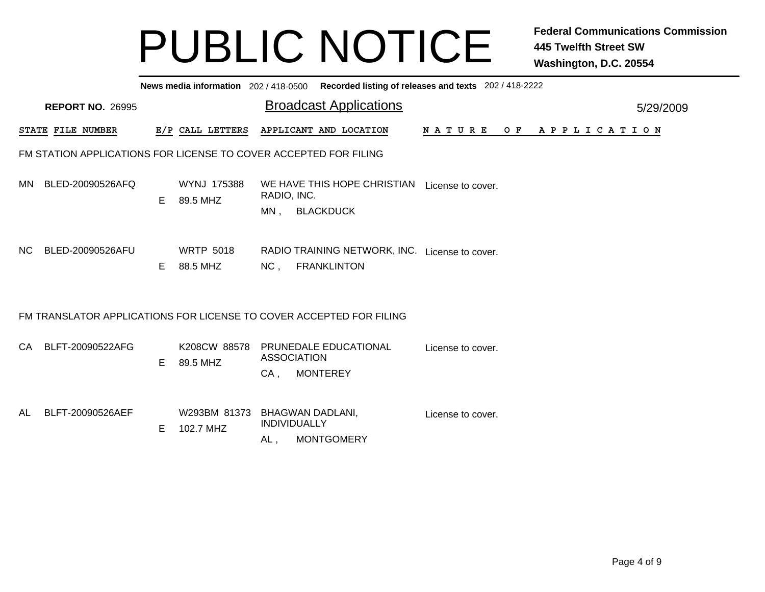|           | News media information 202/418-0500 Recorded listing of releases and texts 202/418-2222 |   |                              |                              |                                                                      |                   |  |                |           |  |  |  |
|-----------|-----------------------------------------------------------------------------------------|---|------------------------------|------------------------------|----------------------------------------------------------------------|-------------------|--|----------------|-----------|--|--|--|
|           | <b>REPORT NO. 26995</b>                                                                 |   |                              |                              | <b>Broadcast Applications</b>                                        |                   |  |                | 5/29/2009 |  |  |  |
|           | STATE FILE NUMBER                                                                       |   | E/P CALL LETTERS             |                              | APPLICANT AND LOCATION                                               | N A T U R E       |  | OF APPLICATION |           |  |  |  |
|           | FM STATION APPLICATIONS FOR LICENSE TO COVER ACCEPTED FOR FILING                        |   |                              |                              |                                                                      |                   |  |                |           |  |  |  |
|           | MN BLED-20090526AFQ                                                                     | E | WYNJ 175388<br>89.5 MHZ      | RADIO, INC.<br>$MN$ ,        | WE HAVE THIS HOPE CHRISTIAN License to cover.<br><b>BLACKDUCK</b>    |                   |  |                |           |  |  |  |
| NC        | BLED-20090526AFU                                                                        | E | <b>WRTP 5018</b><br>88.5 MHZ | NC,                          | RADIO TRAINING NETWORK, INC. License to cover.<br><b>FRANKLINTON</b> |                   |  |                |           |  |  |  |
|           | FM TRANSLATOR APPLICATIONS FOR LICENSE TO COVER ACCEPTED FOR FILING                     |   |                              |                              |                                                                      |                   |  |                |           |  |  |  |
|           | CA BLFT-20090522AFG                                                                     | E | K208CW 88578<br>89.5 MHZ     | <b>ASSOCIATION</b><br>$CA$ , | PRUNEDALE EDUCATIONAL<br><b>MONTEREY</b>                             | License to cover. |  |                |           |  |  |  |
| <b>AL</b> | BLFT-20090526AEF                                                                        | E | W293BM 81373<br>102.7 MHZ    | INDIVIDUALLY<br>AL,          | <b>BHAGWAN DADLANI,</b><br><b>MONTGOMERY</b>                         | License to cover. |  |                |           |  |  |  |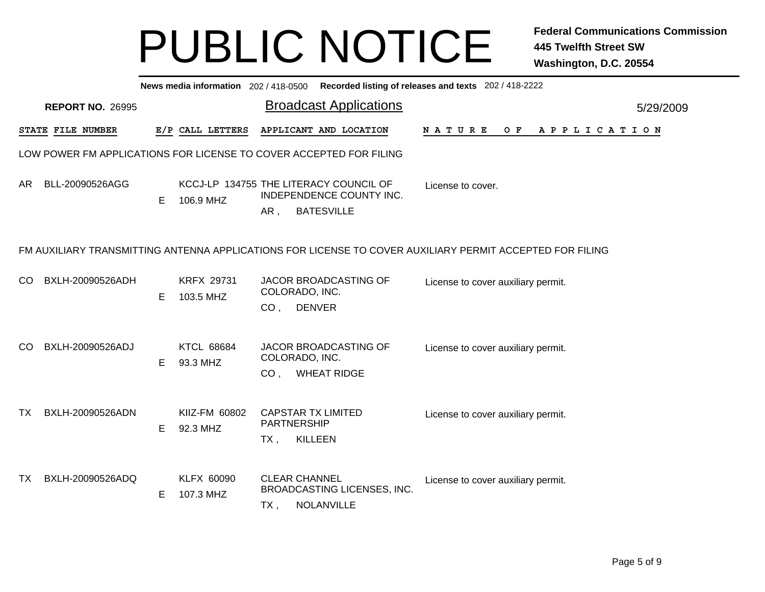|           | News media information 202 / 418-0500 Recorded listing of releases and texts 202 / 418-2222 |   |                                |                                                    |                                                                                         |                                                                                                          |  |  |  |  |  |  |
|-----------|---------------------------------------------------------------------------------------------|---|--------------------------------|----------------------------------------------------|-----------------------------------------------------------------------------------------|----------------------------------------------------------------------------------------------------------|--|--|--|--|--|--|
|           | <b>REPORT NO. 26995</b>                                                                     |   |                                |                                                    | <b>Broadcast Applications</b>                                                           | 5/29/2009                                                                                                |  |  |  |  |  |  |
|           | STATE FILE NUMBER                                                                           |   | E/P CALL LETTERS               |                                                    | APPLICANT AND LOCATION                                                                  | O F<br>N A T U R E<br>A P P L I C A T I O N                                                              |  |  |  |  |  |  |
|           | LOW POWER FM APPLICATIONS FOR LICENSE TO COVER ACCEPTED FOR FILING                          |   |                                |                                                    |                                                                                         |                                                                                                          |  |  |  |  |  |  |
| AR.       | BLL-20090526AGG                                                                             | E | 106.9 MHZ                      | AR,                                                | KCCJ-LP 134755 THE LITERACY COUNCIL OF<br>INDEPENDENCE COUNTY INC.<br><b>BATESVILLE</b> | License to cover.                                                                                        |  |  |  |  |  |  |
|           |                                                                                             |   |                                |                                                    |                                                                                         | FM AUXILIARY TRANSMITTING ANTENNA APPLICATIONS FOR LICENSE TO COVER AUXILIARY PERMIT ACCEPTED FOR FILING |  |  |  |  |  |  |
| CO        | BXLH-20090526ADH                                                                            | E | <b>KRFX 29731</b><br>103.5 MHZ | COLORADO, INC.<br>CO <sub>1</sub>                  | JACOR BROADCASTING OF<br><b>DENVER</b>                                                  | License to cover auxiliary permit.                                                                       |  |  |  |  |  |  |
| CO.       | BXLH-20090526ADJ                                                                            | Е | <b>KTCL 68684</b><br>93.3 MHZ  | COLORADO, INC.<br>CO <sub>1</sub>                  | JACOR BROADCASTING OF<br><b>WHEAT RIDGE</b>                                             | License to cover auxiliary permit.                                                                       |  |  |  |  |  |  |
| TX.       | BXLH-20090526ADN                                                                            | Е | KIIZ-FM 60802<br>92.3 MHZ      | <b>CAPSTAR TX LIMITED</b><br>PARTNERSHIP<br>$TX$ , | <b>KILLEEN</b>                                                                          | License to cover auxiliary permit.                                                                       |  |  |  |  |  |  |
| <b>TX</b> | BXLH-20090526ADQ                                                                            | E | KLFX 60090<br>107.3 MHZ        | <b>CLEAR CHANNEL</b><br>TX,                        | BROADCASTING LICENSES, INC.<br>NOLANVILLE                                               | License to cover auxiliary permit.                                                                       |  |  |  |  |  |  |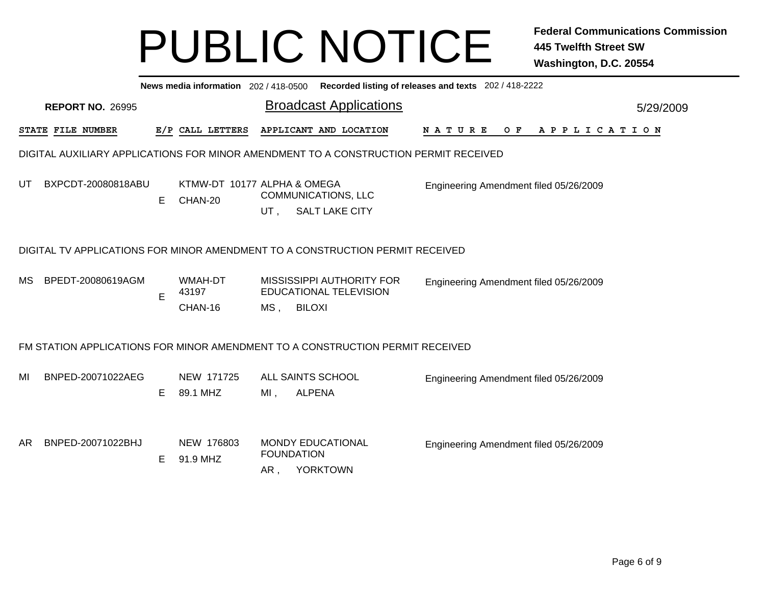|    | News media information 202/418-0500 Recorded listing of releases and texts 202/418-2222 |    |                                        |                          |                                                                                      |                                             |           |  |  |  |  |  |
|----|-----------------------------------------------------------------------------------------|----|----------------------------------------|--------------------------|--------------------------------------------------------------------------------------|---------------------------------------------|-----------|--|--|--|--|--|
|    | <b>REPORT NO. 26995</b>                                                                 |    |                                        |                          | <b>Broadcast Applications</b>                                                        |                                             | 5/29/2009 |  |  |  |  |  |
|    | STATE FILE NUMBER                                                                       |    | E/P CALL LETTERS                       |                          | APPLICANT AND LOCATION                                                               | N A T U R E<br>O F<br>A P P L I C A T I O N |           |  |  |  |  |  |
|    |                                                                                         |    |                                        |                          | DIGITAL AUXILIARY APPLICATIONS FOR MINOR AMENDMENT TO A CONSTRUCTION PERMIT RECEIVED |                                             |           |  |  |  |  |  |
| UT | BXPCDT-20080818ABU                                                                      | E. | KTMW-DT 10177 ALPHA & OMEGA<br>CHAN-20 | UT.                      | <b>COMMUNICATIONS, LLC</b><br><b>SALT LAKE CITY</b>                                  | Engineering Amendment filed 05/26/2009      |           |  |  |  |  |  |
|    |                                                                                         |    |                                        |                          | DIGITAL TV APPLICATIONS FOR MINOR AMENDMENT TO A CONSTRUCTION PERMIT RECEIVED        |                                             |           |  |  |  |  |  |
| МS | BPEDT-20080619AGM                                                                       | E  | WMAH-DT<br>43197<br>CHAN-16            | $MS$ ,                   | MISSISSIPPI AUTHORITY FOR<br>EDUCATIONAL TELEVISION<br><b>BILOXI</b>                 | Engineering Amendment filed 05/26/2009      |           |  |  |  |  |  |
|    |                                                                                         |    |                                        |                          | FM STATION APPLICATIONS FOR MINOR AMENDMENT TO A CONSTRUCTION PERMIT RECEIVED        |                                             |           |  |  |  |  |  |
| MI | BNPED-20071022AEG                                                                       | E. | NEW 171725<br>89.1 MHZ                 | MI,                      | ALL SAINTS SCHOOL<br><b>ALPENA</b>                                                   | Engineering Amendment filed 05/26/2009      |           |  |  |  |  |  |
| AR | BNPED-20071022BHJ                                                                       | E. | NEW 176803<br>91.9 MHZ                 | <b>FOUNDATION</b><br>AR, | <b>MONDY EDUCATIONAL</b><br><b>YORKTOWN</b>                                          | Engineering Amendment filed 05/26/2009      |           |  |  |  |  |  |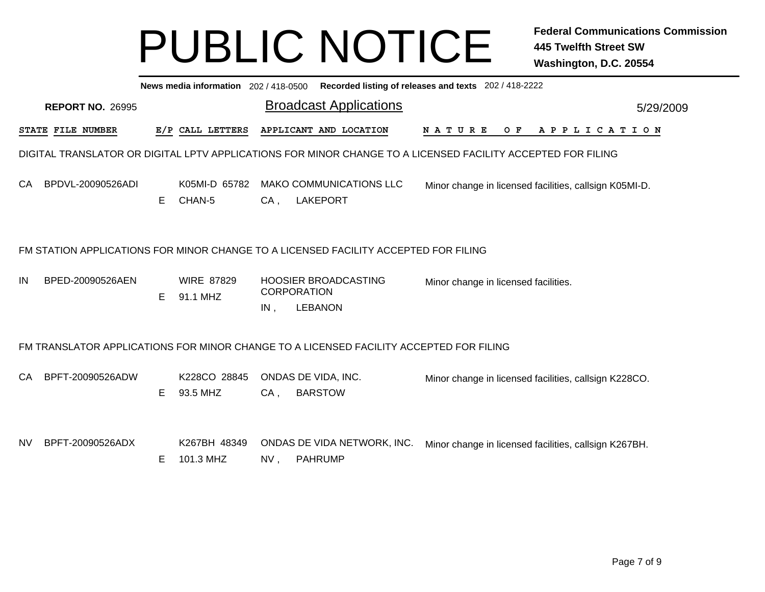|     | News media information 202 / 418-0500 Recorded listing of releases and texts 202 / 418-2222                 |    |                               |        |                                                                                        |                                      |  |                                                        |           |  |  |  |
|-----|-------------------------------------------------------------------------------------------------------------|----|-------------------------------|--------|----------------------------------------------------------------------------------------|--------------------------------------|--|--------------------------------------------------------|-----------|--|--|--|
|     | <b>REPORT NO. 26995</b>                                                                                     |    |                               |        | <b>Broadcast Applications</b>                                                          |                                      |  |                                                        | 5/29/2009 |  |  |  |
|     | STATE FILE NUMBER                                                                                           |    | E/P CALL LETTERS              |        | APPLICANT AND LOCATION                                                                 | N A T U R E                          |  | OF APPLICATION                                         |           |  |  |  |
|     | DIGITAL TRANSLATOR OR DIGITAL LPTV APPLICATIONS FOR MINOR CHANGE TO A LICENSED FACILITY ACCEPTED FOR FILING |    |                               |        |                                                                                        |                                      |  |                                                        |           |  |  |  |
| CA. | BPDVL-20090526ADI                                                                                           | E. | K05MI-D 65782<br>CHAN-5       | $CA$ , | <b>MAKO COMMUNICATIONS LLC</b><br><b>LAKEPORT</b>                                      |                                      |  | Minor change in licensed facilities, callsign K05MI-D. |           |  |  |  |
|     | FM STATION APPLICATIONS FOR MINOR CHANGE TO A LICENSED FACILITY ACCEPTED FOR FILING                         |    |                               |        |                                                                                        |                                      |  |                                                        |           |  |  |  |
| IN  | BPED-20090526AEN                                                                                            | E. | <b>WIRE 87829</b><br>91.1 MHZ | IN,    | <b>HOOSIER BROADCASTING</b><br><b>CORPORATION</b><br><b>LEBANON</b>                    | Minor change in licensed facilities. |  |                                                        |           |  |  |  |
|     |                                                                                                             |    |                               |        | FM TRANSLATOR APPLICATIONS FOR MINOR CHANGE TO A LICENSED FACILITY ACCEPTED FOR FILING |                                      |  |                                                        |           |  |  |  |
| CA. | BPFT-20090526ADW                                                                                            | E. | K228CO 28845<br>93.5 MHZ      | $CA$ , | ONDAS DE VIDA, INC.<br><b>BARSTOW</b>                                                  |                                      |  | Minor change in licensed facilities, callsign K228CO.  |           |  |  |  |
| NV. | BPFT-20090526ADX                                                                                            | E  | K267BH 48349<br>101.3 MHZ     | NV,    | ONDAS DE VIDA NETWORK, INC.<br><b>PAHRUMP</b>                                          |                                      |  | Minor change in licensed facilities, callsign K267BH.  |           |  |  |  |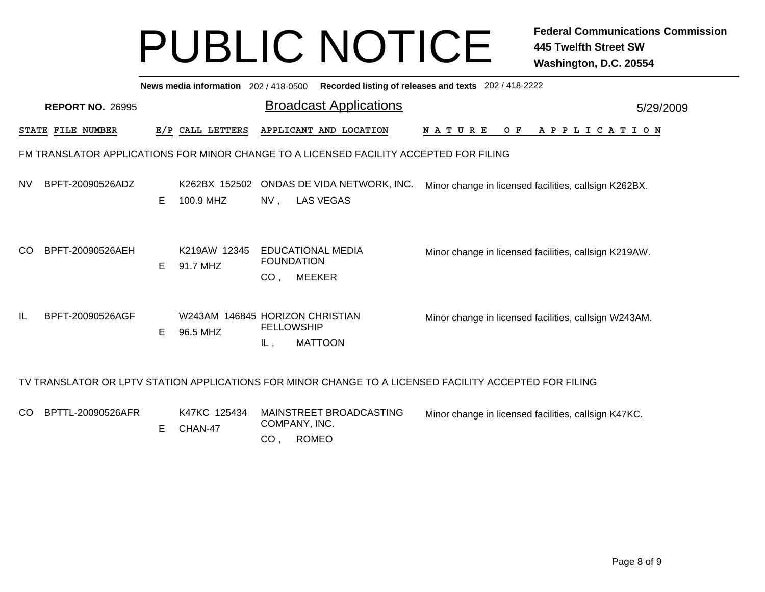|    | Recorded listing of releases and texts 202 / 418-2222<br>News media information 202/418-0500 |   |                            |                                                                               |                                                                                                        |  |  |  |  |  |  |  |
|----|----------------------------------------------------------------------------------------------|---|----------------------------|-------------------------------------------------------------------------------|--------------------------------------------------------------------------------------------------------|--|--|--|--|--|--|--|
|    | <b>REPORT NO. 26995</b>                                                                      |   |                            | <b>Broadcast Applications</b>                                                 | 5/29/2009                                                                                              |  |  |  |  |  |  |  |
|    | <b>STATE FILE NUMBER</b>                                                                     |   | E/P CALL LETTERS           | APPLICANT AND LOCATION                                                        | $O$ $F$<br>APPLICATION<br><b>NATURE</b>                                                                |  |  |  |  |  |  |  |
|    | FM TRANSLATOR APPLICATIONS FOR MINOR CHANGE TO A LICENSED FACILITY ACCEPTED FOR FILING       |   |                            |                                                                               |                                                                                                        |  |  |  |  |  |  |  |
| NV | BPFT-20090526ADZ                                                                             | Е | K262BX 152502<br>100.9 MHZ | ONDAS DE VIDA NETWORK, INC.<br><b>LAS VEGAS</b><br>$NV$ ,                     | Minor change in licensed facilities, callsign K262BX.                                                  |  |  |  |  |  |  |  |
| CO | BPFT-20090526AEH                                                                             | Е | K219AW 12345<br>91.7 MHZ   | EDUCATIONAL MEDIA<br><b>FOUNDATION</b><br>CO <sub>1</sub><br><b>MEEKER</b>    | Minor change in licensed facilities, callsign K219AW.                                                  |  |  |  |  |  |  |  |
| IL | BPFT-20090526AGF                                                                             | E | 96.5 MHZ                   | W243AM 146845 HORIZON CHRISTIAN<br><b>FELLOWSHIP</b><br><b>MATTOON</b><br>IL, | Minor change in licensed facilities, callsign W243AM.                                                  |  |  |  |  |  |  |  |
|    |                                                                                              |   |                            |                                                                               | TV TRANSLATOR OR LPTV STATION APPLICATIONS FOR MINOR CHANGE TO A LICENSED FACILITY ACCEPTED FOR FILING |  |  |  |  |  |  |  |
| CO | BPTTL-20090526AFR                                                                            | Е | K47KC 125434<br>CHAN-47    | MAINSTREET BROADCASTING<br>COMPANY, INC.                                      | Minor change in licensed facilities, callsign K47KC.                                                   |  |  |  |  |  |  |  |

CO , ROMEO